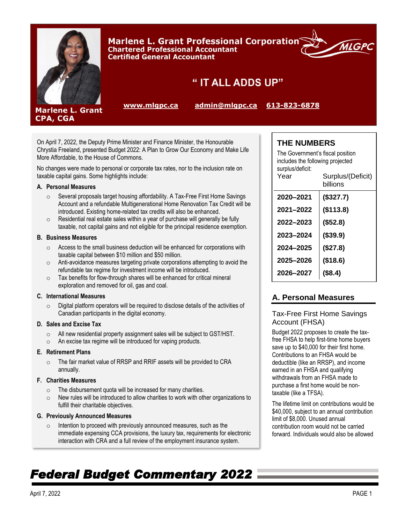

Marlene L. Grant Professional Corporation® **Chartered Professional Accountant Certified General Accountant** 



**Marlene L. Grant** CPA, CGA

" IT ALL ADDS UP"

**[www.mlgpc.ca](http://www.mlgpc.ca/) [admin@mlgpc.ca](mailto:admin@mlgpc.ca) [613-823-6878](tel:6138236878)**

On April 7, 2022, the Deputy Prime Minister and Finance Minister, the Honourable Chrystia Freeland, presented Budget 2022: A Plan to Grow Our Economy and Make Life More Affordable, to the House of Commons.

No changes were made to personal or corporate tax rates, nor to the inclusion rate on taxable capital gains. Some highlights include:

#### **A. Personal Measures**

- o Several proposals target housing affordability. A Tax-Free First Home Savings Account and a refundable Multigenerational Home Renovation Tax Credit will be introduced. Existing home-related tax credits will also be enhanced.
- o Residential real estate sales within a year of purchase will generally be fully taxable, not capital gains and not eligible for the principal residence exemption.

#### **B. Business Measures**

- o Access to the small business deduction will be enhanced for corporations with taxable capital between \$10 million and \$50 million.
- o Anti-avoidance measures targeting private corporations attempting to avoid the refundable tax regime for investment income will be introduced.
- $\circ$  Tax benefits for flow-through shares will be enhanced for critical mineral exploration and removed for oil, gas and coal.

#### **C. International Measures**

o Digital platform operators will be required to disclose details of the activities of Canadian participants in the digital economy.

#### **D. Sales and Excise Tax**

- o All new residential property assignment sales will be subject to GST/HST.
- o An excise tax regime will be introduced for vaping products.

### **E. Retirement Plans**

o The fair market value of RRSP and RRIF assets will be provided to CRA annually.

#### **F. Charities Measures**

- o The disbursement quota will be increased for many charities.
- $\circ$  New rules will be introduced to allow charities to work with other organizations to fulfill their charitable objectives.

#### **G. Previously Announced Measures**

o Intention to proceed with previously announced measures, such as the immediate expensing CCA provisions, the luxury tax, requirements for electronic interaction with CRA and a full review of the employment insurance system.

# **THE NUMBERS**

| The Government's fiscal position<br>includes the following projected<br>surplus/deficit:<br>Year | Surplus/(Deficit)<br>billions |  |
|--------------------------------------------------------------------------------------------------|-------------------------------|--|
| 2020–2021                                                                                        | (\$327.7)                     |  |
| 2021-2022                                                                                        | (\$113.8)                     |  |
| 2022–2023                                                                                        | (\$52.8)                      |  |
| 2023–2024                                                                                        | $($ \$39.9)                   |  |
| 2024–2025                                                                                        | (\$27.8)                      |  |
| 2025-2026                                                                                        | (\$18.6)                      |  |
| 2026–2027                                                                                        | (\$8.4)                       |  |

# **A. Personal Measures**

## Tax-Free First Home Savings Account (FHSA)

Budget 2022 proposes to create the taxfree FHSA to help first-time home buyers save up to \$40,000 for their first home. Contributions to an FHSA would be deductible (like an RRSP), and income earned in an FHSA and qualifying withdrawals from an FHSA made to purchase a first home would be nontaxable (like a TFSA).

The lifetime limit on contributions would be \$40,000, subject to an annual contribution limit of \$8,000. Unused annual contribution room would not be carried forward. Individuals would also be allowed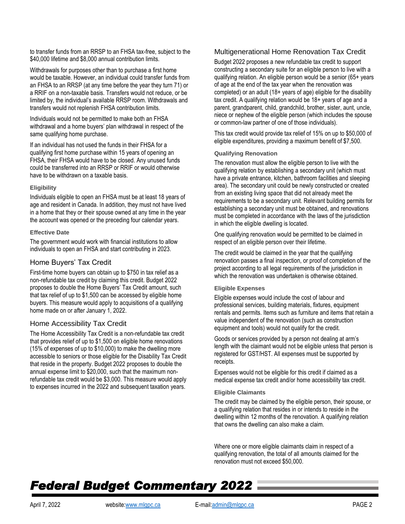to transfer funds from an RRSP to an FHSA tax-free, subject to the \$40,000 lifetime and \$8,000 annual contribution limits.

Withdrawals for purposes other than to purchase a first home would be taxable. However, an individual could transfer funds from an FHSA to an RRSP (at any time before the year they turn 71) or a RRIF on a non-taxable basis. Transfers would not reduce, or be limited by, the individual's available RRSP room. Withdrawals and transfers would not replenish FHSA contribution limits.

Individuals would not be permitted to make both an FHSA withdrawal and a home buyers' plan withdrawal in respect of the same qualifying home purchase.

If an individual has not used the funds in their FHSA for a qualifying first home purchase within 15 years of opening an FHSA, their FHSA would have to be closed. Any unused funds could be transferred into an RRSP or RRIF or would otherwise have to be withdrawn on a taxable basis.

#### **Eligibility**

Individuals eligible to open an FHSA must be at least 18 years of age and resident in Canada. In addition, they must not have lived in a home that they or their spouse owned at any time in the year the account was opened or the preceding four calendar years.

#### **Effective Date**

The government would work with financial institutions to allow individuals to open an FHSA and start contributing in 2023.

## Home Buyers' Tax Credit

First-time home buyers can obtain up to \$750 in tax relief as a non-refundable tax credit by claiming this credit. Budget 2022 proposes to double the Home Buyers' Tax Credit amount, such that tax relief of up to \$1,500 can be accessed by eligible home buyers. This measure would apply to acquisitions of a qualifying home made on or after January 1, 2022.

### Home Accessibility Tax Credit

The Home Accessibility Tax Credit is a non-refundable tax credit that provides relief of up to \$1,500 on eligible home renovations (15% of expenses of up to \$10,000) to make the dwelling more accessible to seniors or those eligible for the Disability Tax Credit that reside in the property. Budget 2022 proposes to double the annual expense limit to \$20,000, such that the maximum nonrefundable tax credit would be \$3,000. This measure would apply to expenses incurred in the 2022 and subsequent taxation years.

## Multigenerational Home Renovation Tax Credit

Budget 2022 proposes a new refundable tax credit to support constructing a secondary suite for an eligible person to live with a qualifying relation. An eligible person would be a senior (65+ years of age at the end of the tax year when the renovation was completed) or an adult (18+ years of age) eligible for the disability tax credit. A qualifying relation would be 18+ years of age and a parent, grandparent, child, grandchild, brother, sister, aunt, uncle, niece or nephew of the eligible person (which includes the spouse or common-law partner of one of those individuals).

This tax credit would provide tax relief of 15% on up to \$50,000 of eligible expenditures, providing a maximum benefit of \$7,500.

#### **Qualifying Renovation**

The renovation must allow the eligible person to live with the qualifying relation by establishing a secondary unit (which must have a private entrance, kitchen, bathroom facilities and sleeping area). The secondary unit could be newly constructed or created from an existing living space that did not already meet the requirements to be a secondary unit. Relevant building permits for establishing a secondary unit must be obtained, and renovations must be completed in accordance with the laws of the jurisdiction in which the eligible dwelling is located.

One qualifying renovation would be permitted to be claimed in respect of an eligible person over their lifetime.

The credit would be claimed in the year that the qualifying renovation passes a final inspection, or proof of completion of the project according to all legal requirements of the jurisdiction in which the renovation was undertaken is otherwise obtained.

#### **Eligible Expenses**

Eligible expenses would include the cost of labour and professional services, building materials, fixtures, equipment rentals and permits. Items such as furniture and items that retain a value independent of the renovation (such as construction equipment and tools) would not qualify for the credit.

Goods or services provided by a person not dealing at arm's length with the claimant would not be eligible unless that person is registered for GST/HST. All expenses must be supported by receipts.

Expenses would not be eligible for this credit if claimed as a medical expense tax credit and/or home accessibility tax credit.

#### **Eligible Claimants**

The credit may be claimed by the eligible person, their spouse, or a qualifying relation that resides in or intends to reside in the dwelling within 12 months of the renovation. A qualifying relation that owns the dwelling can also make a claim.

Where one or more eligible claimants claim in respect of a qualifying renovation, the total of all amounts claimed for the renovation must not exceed \$50,000.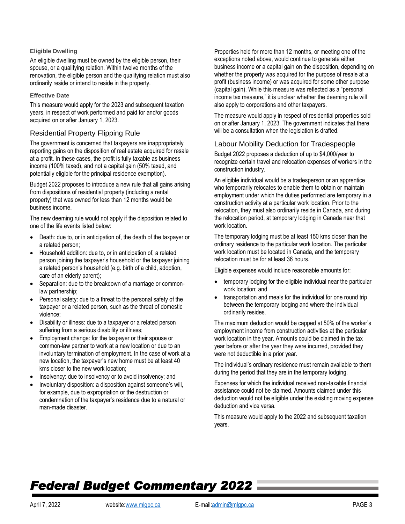#### **Eligible Dwelling**

An eligible dwelling must be owned by the eligible person, their spouse, or a qualifying relation. Within twelve months of the renovation, the eligible person and the qualifying relation must also ordinarily reside or intend to reside in the property.

#### **Effective Date**

This measure would apply for the 2023 and subsequent taxation years, in respect of work performed and paid for and/or goods acquired on or after January 1, 2023.

## Residential Property Flipping Rule

The government is concerned that taxpayers are inappropriately reporting gains on the disposition of real estate acquired for resale at a profit. In these cases, the profit is fully taxable as business income (100% taxed), and not a capital gain (50% taxed, and potentially eligible for the principal residence exemption).

Budget 2022 proposes to introduce a new rule that all gains arising from dispositions of residential property (including a rental property) that was owned for less than 12 months would be business income.

The new deeming rule would not apply if the disposition related to one of the life events listed below:

- Death: due to, or in anticipation of, the death of the taxpayer or a related person;
- Household addition: due to, or in anticipation of, a related person joining the taxpayer's household or the taxpayer joining a related person's household (e.g. birth of a child, adoption, care of an elderly parent);
- Separation: due to the breakdown of a marriage or commonlaw partnership;
- Personal safety: due to a threat to the personal safety of the taxpayer or a related person, such as the threat of domestic violence;
- Disability or illness: due to a taxpayer or a related person suffering from a serious disability or illness;
- Employment change: for the taxpayer or their spouse or common-law partner to work at a new location or due to an involuntary termination of employment. In the case of work at a new location, the taxpayer's new home must be at least 40 kms closer to the new work location;
- Insolvency: due to insolvency or to avoid insolvency; and
- Involuntary disposition: a disposition against someone's will, for example, due to expropriation or the destruction or condemnation of the taxpayer's residence due to a natural or man-made disaster.

Properties held for more than 12 months, or meeting one of the exceptions noted above, would continue to generate either business income or a capital gain on the disposition, depending on whether the property was acquired for the purpose of resale at a profit (business income) or was acquired for some other purpose (capital gain). While this measure was reflected as a "personal income tax measure," it is unclear whether the deeming rule will also apply to corporations and other taxpayers.

The measure would apply in respect of residential properties sold on or after January 1, 2023. The government indicates that there will be a consultation when the legislation is drafted.

## Labour Mobility Deduction for Tradespeople

Budget 2022 proposes a deduction of up to \$4,000/year to recognize certain travel and relocation expenses of workers in the construction industry.

An eligible individual would be a tradesperson or an apprentice who temporarily relocates to enable them to obtain or maintain employment under which the duties performed are temporary in a construction activity at a particular work location. Prior to the relocation, they must also ordinarily reside in Canada, and during the relocation period, at temporary lodging in Canada near that work location.

The temporary lodging must be at least 150 kms closer than the ordinary residence to the particular work location. The particular work location must be located in Canada, and the temporary relocation must be for at least 36 hours.

Eligible expenses would include reasonable amounts for:

- temporary lodging for the eligible individual near the particular work location; and
- transportation and meals for the individual for one round trip between the temporary lodging and where the individual ordinarily resides.

The maximum deduction would be capped at 50% of the worker's employment income from construction activities at the particular work location in the year. Amounts could be claimed in the tax year before or after the year they were incurred, provided they were not deductible in a prior year.

The individual's ordinary residence must remain available to them during the period that they are in the temporary lodging.

Expenses for which the individual received non-taxable financial assistance could not be claimed. Amounts claimed under this deduction would not be eligible under the existing moving expense deduction and vice versa.

This measure would apply to the 2022 and subsequent taxation years.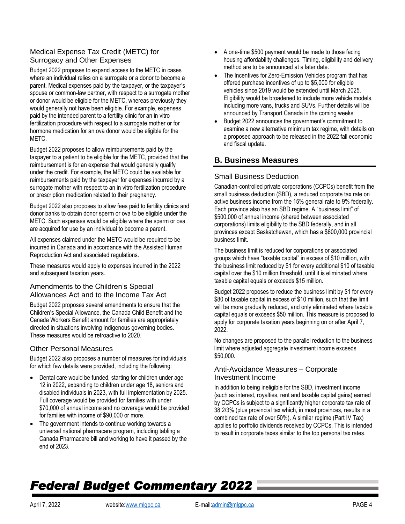# Medical Expense Tax Credit (METC) for Surrogacy and Other Expenses

Budget 2022 proposes to expand access to the METC in cases where an individual relies on a surrogate or a donor to become a parent. Medical expenses paid by the taxpayer, or the taxpayer's spouse or common-law partner, with respect to a surrogate mother or donor would be eligible for the METC, whereas previously they would generally not have been eligible. For example, expenses paid by the intended parent to a fertility clinic for an in vitro fertilization procedure with respect to a surrogate mother or for hormone medication for an ova donor would be eligible for the METC.

Budget 2022 proposes to allow reimbursements paid by the taxpayer to a patient to be eligible for the METC, provided that the reimbursement is for an expense that would generally qualify under the credit. For example, the METC could be available for reimbursements paid by the taxpayer for expenses incurred by a surrogate mother with respect to an in vitro fertilization procedure or prescription medication related to their pregnancy.

Budget 2022 also proposes to allow fees paid to fertility clinics and donor banks to obtain donor sperm or ova to be eligible under the METC. Such expenses would be eligible where the sperm or ova are acquired for use by an individual to become a parent.

All expenses claimed under the METC would be required to be incurred in Canada and in accordance with the Assisted Human Reproduction Act and associated regulations.

These measures would apply to expenses incurred in the 2022 and subsequent taxation years.

## Amendments to the Children's Special Allowances Act and to the Income Tax Act

Budget 2022 proposes several amendments to ensure that the Children's Special Allowance, the Canada Child Benefit and the Canada Workers Benefit amount for families are appropriately directed in situations involving Indigenous governing bodies. These measures would be retroactive to 2020.

## Other Personal Measures

Budget 2022 also proposes a number of measures for individuals for which few details were provided, including the following:

- Dental care would be funded, starting for children under age 12 in 2022, expanding to children under age 18, seniors and disabled individuals in 2023, with full implementation by 2025. Full coverage would be provided for families with under \$70,000 of annual income and no coverage would be provided for families with income of \$90,000 or more.
- The government intends to continue working towards a universal national pharmacare program, including tabling a Canada Pharmacare bill and working to have it passed by the end of 2023.
- A one-time \$500 payment would be made to those facing housing affordability challenges. Timing, eligibility and delivery method are to be announced at a later date.
- The Incentives for Zero-Emission Vehicles program that has offered purchase incentives of up to \$5,000 for eligible vehicles since 2019 would be extended until March 2025. Eligibility would be broadened to include more vehicle models, including more vans, trucks and SUVs. Further details will be announced by Transport Canada in the coming weeks.
- Budget 2022 announces the government's commitment to examine a new alternative minimum tax regime, with details on a proposed approach to be released in the 2022 fall economic and fiscal update.

# **B. Business Measures**

## Small Business Deduction

Canadian-controlled private corporations (CCPCs) benefit from the small business deduction (SBD), a reduced corporate tax rate on active business income from the 15% general rate to 9% federally. Each province also has an SBD regime. A "business limit" of \$500,000 of annual income (shared between associated corporations) limits eligibility to the SBD federally, and in all provinces except Saskatchewan, which has a \$600,000 provincial business limit.

The business limit is reduced for corporations or associated groups which have "taxable capital" in excess of \$10 million, with the business limit reduced by \$1 for every additional \$10 of taxable capital over the \$10 million threshold, until it is eliminated where taxable capital equals or exceeds \$15 million.

Budget 2022 proposes to reduce the business limit by \$1 for every \$80 of taxable capital in excess of \$10 million, such that the limit will be more gradually reduced, and only eliminated where taxable capital equals or exceeds \$50 million. This measure is proposed to apply for corporate taxation years beginning on or after April 7, 2022.

No changes are proposed to the parallel reduction to the business limit where adjusted aggregate investment income exceeds \$50,000.

## Anti-Avoidance Measures – Corporate Investment Income

In addition to being ineligible for the SBD, investment income (such as interest, royalties, rent and taxable capital gains) earned by CCPCs is subject to a significantly higher corporate tax rate of 38 2/3% (plus provincial tax which, in most provinces, results in a combined tax rate of over 50%). A similar regime (Part IV Tax) applies to portfolio dividends received by CCPCs. This is intended to result in corporate taxes similar to the top personal tax rates.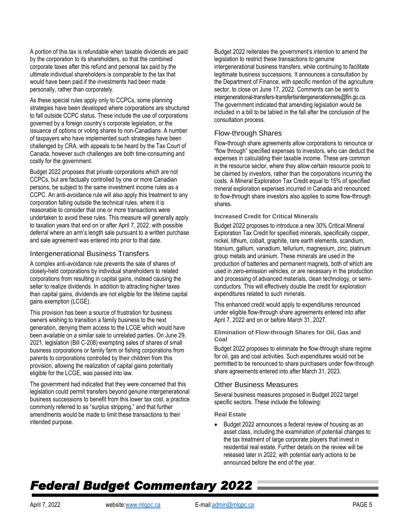A portion of this tax is refundable when taxable dividends are paid by the corporation to its shareholders, so that the combined corporate taxes after this refund and personal tax paid by the ultimate individual shareholders is comparable to the tax that would have been paid if the investments had been made personally, rather than corporately.

As these special rules apply only to CCPCs, some planning strategies have been developed where corporations are structured to fall outside CCPC status. These include the use of corporations governed by a foreign country's corporate legislation, or the issuance of options or voting shares to non-Canadians. A number of taxpayers who have implemented such strategies have been challenged by CRA, with appeals to be heard by the Tax Court of Canada, however such challenges are both time-consuming and costly for the government.

Budget 2022 proposes that private corporations which are not CCPCs, but are factually controlled by one or more Canadian persons, be subject to the same investment income rules as a CCPC. An anti-avoidance rule will also apply this treatment to any corporation falling outside the technical rules, where it is reasonable to consider that one or more transactions were undertaken to avoid these rules. This measure will generally apply to taxation years that end on or after April 7, 2022, with possible deferral where an arm's length sale pursuant to a written purchase and sale agreement was entered into prior to that date.

## Intergenerational Business Transfers

A complex anti-avoidance rule prevents the sale of shares of closely-held corporations by individual shareholders to related corporations from resulting in capital gains, instead causing the seller to realize dividends. In addition to attracting higher taxes than capital gains, dividends are not eligible for the lifetime capital gains exemption (LCGE).

This provision has been a source of frustration for business owners wishing to transition a family business to the next generation, denying them access to the LCGE which would have been available on a similar sale to unrelated parties. On June 29, 2021, legislation (Bill C-208) exempting sales of shares of small business corporations or family farm or fishing corporations from parents to corporations controlled by their children from this provision, allowing the realization of capital gains potentially eligible for the LCGE, was passed into law.

The government had indicated that they were concerned that this legislation could permit transfers beyond genuine intergenerational business successions to benefit from this lower tax cost, a practice commonly referred to as "surplus stripping," and that further amendments would be made to limit these transactions to their intended purpose.

Budget 2022 reiterates the government's intention to amend the legislation to restrict these transactions to genuine intergenerational business transfers, while continuing to facilitate legitimate business successions. It announces a consultation by the Department of Finance, with specific mention of the agriculture sector, to close on June 17, 2022. Comments can be sent to intergenerational-transfers-transfertsintergenerationnels@fin.gc.ca. The government indicated that amending legislation would be included in a bill to be tabled in the fall after the conclusion of the consultation process.

## Flow-through Shares

Flow-through share agreements allow corporations to renounce or "flow through" specified expenses to investors, who can deduct the expenses in calculating their taxable income. These are common in the resource sector, where they allow certain resource pools to be claimed by investors, rather than the corporations incurring the costs. A Mineral Exploration Tax Credit equal to 15% of specified mineral exploration expenses incurred in Canada and renounced to flow-through share investors also applies to some flow-through shares.

#### **Increased Credit for Critical Minerals**

Budget 2022 proposes to introduce a new 30% Critical Mineral Exploration Tax Credit for specified minerals, specifically copper, nickel, lithium, cobalt, graphite, rare earth elements, scandium, titanium, gallium, vanadium, tellurium, magnesium, zinc, platinum group metals and uranium. These minerals are used in the production of batteries and permanent magnets, both of which are used in zero-emission vehicles, or are necessary in the production and processing of advanced materials, clean technology, or semiconductors. This will effectively double the credit for exploration expenditures related to such minerals.

This enhanced credit would apply to expenditures renounced under eligible flow-through share agreements entered into after April 7, 2022 and on or before March 31, 2027.

**Elimination of Flow-through Shares for Oil, Gas and Coal**

Budget 2022 proposes to eliminate the flow-through share regime for oil, gas and coal activities. Such expenditures would not be permitted to be renounced to share purchasers under flow-through share agreements entered into after March 31, 2023.

### Other Business Measures

Several business measures proposed in Budget 2022 target specific sectors. These include the following:

#### **Real Estate**

• Budget 2022 announces a federal review of housing as an asset class, including the examination of potential changes to the tax treatment of large corporate players that invest in residential real estate. Further details on the review will be released later in 2022, with potential early actions to be announced before the end of the year.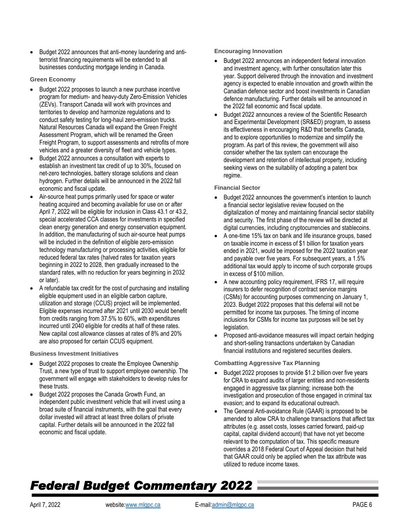• Budget 2022 announces that anti-money laundering and antiterrorist financing requirements will be extended to all businesses conducting mortgage lending in Canada.

#### **Green Economy**

- Budget 2022 proposes to launch a new purchase incentive program for medium- and heavy-duty Zero-Emission Vehicles (ZEVs). Transport Canada will work with provinces and territories to develop and harmonize regulations and to conduct safety testing for long-haul zero-emission trucks. Natural Resources Canada will expand the Green Freight Assessment Program, which will be renamed the Green Freight Program, to support assessments and retrofits of more vehicles and a greater diversity of fleet and vehicle types.
- Budget 2022 announces a consultation with experts to establish an investment tax credit of up to 30%, focused on net-zero technologies, battery storage solutions and clean hydrogen. Further details will be announced in the 2022 fall economic and fiscal update.
- Air-source heat pumps primarily used for space or water heating acquired and becoming available for use on or after April 7, 2022 will be eligible for inclusion in Class 43.1 or 43.2, special accelerated CCA classes for investments in specified clean energy generation and energy conservation equipment. In addition, the manufacturing of such air-source heat pumps will be included in the definition of eligible zero-emission technology manufacturing or processing activities, eligible for reduced federal tax rates (halved rates for taxation years beginning in 2022 to 2028, then gradually increased to the standard rates, with no reduction for years beginning in 2032 or later).
- A refundable tax credit for the cost of purchasing and installing eligible equipment used in an eligible carbon capture, utilization and storage (CCUS) project will be implemented. Eligible expenses incurred after 2021 until 2030 would benefit from credits ranging from 37.5% to 60%, with expenditures incurred until 2040 eligible for credits at half of these rates. New capital cost allowance classes at rates of 8% and 20% are also proposed for certain CCUS equipment.

**Business Investment Initiatives**

- Budget 2022 proposes to create the Employee Ownership Trust, a new type of trust to support employee ownership. The government will engage with stakeholders to develop rules for these trusts.
- Budget 2022 proposes the Canada Growth Fund, an independent public investment vehicle that will invest using a broad suite of financial instruments, with the goal that every dollar invested will attract at least three dollars of private capital. Further details will be announced in the 2022 fall economic and fiscal update.

**Encouraging Innovation**

- Budget 2022 announces an independent federal innovation and investment agency, with further consultation later this year. Support delivered through the innovation and investment agency is expected to enable innovation and growth within the Canadian defence sector and boost investments in Canadian defence manufacturing. Further details will be announced in the 2022 fall economic and fiscal update.
- Budget 2022 announces a review of the Scientific Research and Experimental Development (SR&ED) program, to assess its effectiveness in encouraging R&D that benefits Canada, and to explore opportunities to modernize and simplify the program. As part of this review, the government will also consider whether the tax system can encourage the development and retention of intellectual property, including seeking views on the suitability of adopting a patent box regime.

### **Financial Sector**

- Budget 2022 announces the government's intention to launch a financial sector legislative review focused on the digitalization of money and maintaining financial sector stability and security. The first phase of the review will be directed at digital currencies, including cryptocurrencies and stablecoins.
- A one-time 15% tax on bank and life insurance groups, based on taxable income in excess of \$1 billion for taxation years ended in 2021, would be imposed for the 2022 taxation year and payable over five years. For subsequent years, a 1.5% additional tax would apply to income of such corporate groups in excess of \$100 million.
- A new accounting policy requirement, IFRS 17, will require insurers to defer recognition of contract service margins (CSMs) for accounting purposes commencing on January 1, 2023. Budget 2022 proposes that this deferral will not be permitted for income tax purposes. The timing of income inclusions for CSMs for income tax purposes will be set by legislation.
- Proposed anti-avoidance measures will impact certain hedging and short-selling transactions undertaken by Canadian financial institutions and registered securities dealers.

### **Combatting Aggressive Tax Planning**

- Budget 2022 proposes to provide \$1.2 billion over five years for CRA to expand audits of larger entities and non-residents engaged in aggressive tax planning; increase both the investigation and prosecution of those engaged in criminal tax evasion; and to expand its educational outreach.
- The General Anti-avoidance Rule (GAAR) is proposed to be amended to allow CRA to challenge transactions that affect tax attributes (e.g. asset costs, losses carried forward, paid-up capital, capital dividend account) that have not yet become relevant to the computation of tax. This specific measure overrides a 2018 Federal Court of Appeal decision that held that GAAR could only be applied when the tax attribute was utilized to reduce income taxes.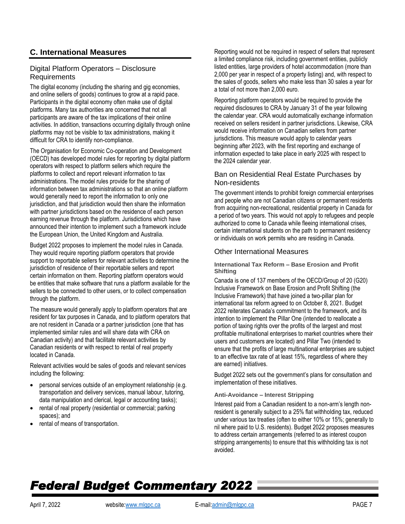# **C. International Measures**

## Digital Platform Operators – Disclosure **Requirements**

The digital economy (including the sharing and gig economies, and online sellers of goods) continues to grow at a rapid pace. Participants in the digital economy often make use of digital platforms. Many tax authorities are concerned that not all participants are aware of the tax implications of their online activities. In addition, transactions occurring digitally through online platforms may not be visible to tax administrations, making it difficult for CRA to identify non-compliance.

The Organisation for Economic Co-operation and Development (OECD) has developed model rules for reporting by digital platform operators with respect to platform sellers which require the platforms to collect and report relevant information to tax administrations. The model rules provide for the sharing of information between tax administrations so that an online platform would generally need to report the information to only one jurisdiction, and that jurisdiction would then share the information with partner jurisdictions based on the residence of each person earning revenue through the platform. Jurisdictions which have announced their intention to implement such a framework include the European Union, the United Kingdom and Australia.

Budget 2022 proposes to implement the model rules in Canada. They would require reporting platform operators that provide support to reportable sellers for relevant activities to determine the jurisdiction of residence of their reportable sellers and report certain information on them. Reporting platform operators would be entities that make software that runs a platform available for the sellers to be connected to other users, or to collect compensation through the platform.

The measure would generally apply to platform operators that are resident for tax purposes in Canada, and to platform operators that are not resident in Canada or a partner jurisdiction (one that has implemented similar rules and will share data with CRA on Canadian activity) and that facilitate relevant activities by Canadian residents or with respect to rental of real property located in Canada.

Relevant activities would be sales of goods and relevant services including the following:

- personal services outside of an employment relationship (e.g. transportation and delivery services, manual labour, tutoring, data manipulation and clerical, legal or accounting tasks);
- rental of real property (residential or commercial; parking spaces); and
- rental of means of transportation.

Reporting would not be required in respect of sellers that represent a limited compliance risk, including government entities, publicly listed entities, large providers of hotel accommodation (more than 2,000 per year in respect of a property listing) and, with respect to the sales of goods, sellers who make less than 30 sales a year for a total of not more than 2,000 euro.

Reporting platform operators would be required to provide the required disclosures to CRA by January 31 of the year following the calendar year. CRA would automatically exchange information received on sellers resident in partner jurisdictions. Likewise, CRA would receive information on Canadian sellers from partner jurisdictions. This measure would apply to calendar years beginning after 2023, with the first reporting and exchange of information expected to take place in early 2025 with respect to the 2024 calendar year.

## Ban on Residential Real Estate Purchases by Non-residents

The government intends to prohibit foreign commercial enterprises and people who are not Canadian citizens or permanent residents from acquiring non-recreational, residential property in Canada for a period of two years. This would not apply to refugees and people authorized to come to Canada while fleeing international crises, certain international students on the path to permanent residency or individuals on work permits who are residing in Canada.

## Other International Measures

**International Tax Reform – Base Erosion and Profit Shifting**

Canada is one of 137 members of the OECD/Group of 20 (G20) Inclusive Framework on Base Erosion and Profit Shifting (the Inclusive Framework) that have joined a two-pillar plan for international tax reform agreed to on October 8, 2021. Budget 2022 reiterates Canada's commitment to the framework, and its intention to implement the Pillar One (intended to reallocate a portion of taxing rights over the profits of the largest and most profitable multinational enterprises to market countries where their users and customers are located) and Pillar Two (intended to ensure that the profits of large multinational enterprises are subject to an effective tax rate of at least 15%, regardless of where they are earned) initiatives.

Budget 2022 sets out the government's plans for consultation and implementation of these initiatives.

#### **Anti-Avoidance – Interest Stripping**

Interest paid from a Canadian resident to a non-arm's length nonresident is generally subject to a 25% flat withholding tax, reduced under various tax treaties (often to either 10% or 15%; generally to nil where paid to U.S. residents). Budget 2022 proposes measures to address certain arrangements (referred to as interest coupon stripping arrangements) to ensure that this withholding tax is not avoided.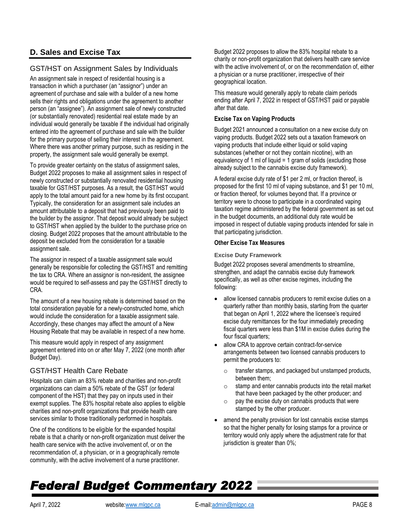# **D. Sales and Excise Tax**

# GST/HST on Assignment Sales by Individuals

An assignment sale in respect of residential housing is a transaction in which a purchaser (an "assignor") under an agreement of purchase and sale with a builder of a new home sells their rights and obligations under the agreement to another person (an "assignee"). An assignment sale of newly constructed (or substantially renovated) residential real estate made by an individual would generally be taxable if the individual had originally entered into the agreement of purchase and sale with the builder for the primary purpose of selling their interest in the agreement. Where there was another primary purpose, such as residing in the property, the assignment sale would generally be exempt.

To provide greater certainty on the status of assignment sales, Budget 2022 proposes to make all assignment sales in respect of newly constructed or substantially renovated residential housing taxable for GST/HST purposes. As a result, the GST/HST would apply to the total amount paid for a new home by its first occupant. Typically, the consideration for an assignment sale includes an amount attributable to a deposit that had previously been paid to the builder by the assignor. That deposit would already be subject to GST/HST when applied by the builder to the purchase price on closing. Budget 2022 proposes that the amount attributable to the deposit be excluded from the consideration for a taxable assignment sale.

The assignor in respect of a taxable assignment sale would generally be responsible for collecting the GST/HST and remitting the tax to CRA. Where an assignor is non-resident, the assignee would be required to self-assess and pay the GST/HST directly to CRA.

The amount of a new housing rebate is determined based on the total consideration payable for a newly-constructed home, which would include the consideration for a taxable assignment sale. Accordingly, these changes may affect the amount of a New Housing Rebate that may be available in respect of a new home.

This measure would apply in respect of any assignment agreement entered into on or after May 7, 2022 (one month after Budget Day).

## GST/HST Health Care Rebate

Hospitals can claim an 83% rebate and charities and non-profit organizations can claim a 50% rebate of the GST (or federal component of the HST) that they pay on inputs used in their exempt supplies. The 83% hospital rebate also applies to eligible charities and non-profit organizations that provide health care services similar to those traditionally performed in hospitals.

One of the conditions to be eligible for the expanded hospital rebate is that a charity or non-profit organization must deliver the health care service with the active involvement of, or on the recommendation of, a physician, or in a geographically remote community, with the active involvement of a nurse practitioner.

Budget 2022 proposes to allow the 83% hospital rebate to a charity or non-profit organization that delivers health care service with the active involvement of, or on the recommendation of, either a physician or a nurse practitioner, irrespective of their geographical location.

This measure would generally apply to rebate claim periods ending after April 7, 2022 in respect of GST/HST paid or payable after that date.

### **Excise Tax on Vaping Products**

Budget 2021 announced a consultation on a new excise duty on vaping products. Budget 2022 sets out a taxation framework on vaping products that include either liquid or solid vaping substances (whether or not they contain nicotine), with an equivalency of 1 ml of liquid =  $1$  gram of solids (excluding those already subject to the cannabis excise duty framework).

A federal excise duty rate of \$1 per 2 ml, or fraction thereof, is proposed for the first 10 ml of vaping substance, and \$1 per 10 ml, or fraction thereof, for volumes beyond that. If a province or territory were to choose to participate in a coordinated vaping taxation regime administered by the federal government as set out in the budget documents, an additional duty rate would be imposed in respect of dutiable vaping products intended for sale in that participating jurisdiction.

#### **Other Excise Tax Measures**

**Excise Duty Framework**

Budget 2022 proposes several amendments to streamline, strengthen, and adapt the cannabis excise duty framework specifically, as well as other excise regimes, including the following:

- allow licensed cannabis producers to remit excise duties on a quarterly rather than monthly basis, starting from the quarter that began on April 1, 2022 where the licensee's required excise duty remittances for the four immediately preceding fiscal quarters were less than \$1M in excise duties during the four fiscal quarters;
- allow CRA to approve certain contract-for-service arrangements between two licensed cannabis producers to permit the producers to:
	- o transfer stamps, and packaged but unstamped products, between them;
	- o stamp and enter cannabis products into the retail market that have been packaged by the other producer; and
	- $\circ$  pay the excise duty on cannabis products that were stamped by the other producer.
- amend the penalty provision for lost cannabis excise stamps so that the higher penalty for losing stamps for a province or territory would only apply where the adjustment rate for that jurisdiction is greater than 0%;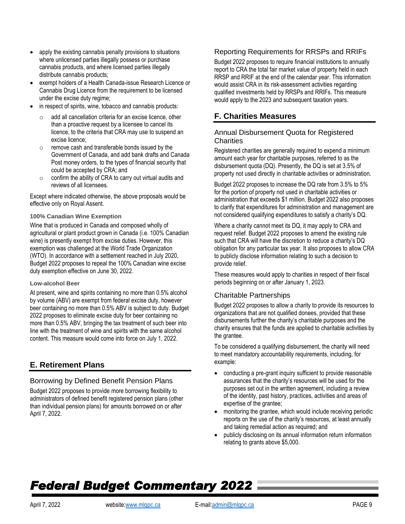- apply the existing cannabis penalty provisions to situations where unlicensed parties illegally possess or purchase cannabis products, and where licensed parties illegally distribute cannabis products;
- exempt holders of a Health Canada-issue Research Licence or Cannabis Drug Licence from the requirement to be licensed under the excise duty regime;
- in respect of spirits, wine, tobacco and cannabis products:
	- add all cancellation criteria for an excise licence, other than a proactive request by a licensee to cancel its licence, to the criteria that CRA may use to suspend an excise licence;
	- o remove cash and transferable bonds issued by the Government of Canada, and add bank drafts and Canada Post money orders, to the types of financial security that could be accepted by CRA; and
	- $\circ$  confirm the ability of CRA to carry out virtual audits and reviews of all licensees.

Except where indicated otherwise, the above proposals would be effective only on Royal Assent.

### **100% Canadian Wine Exemption**

Wine that is produced in Canada and composed wholly of agricultural or plant product grown in Canada (i.e. 100% Canadian wine) is presently exempt from excise duties. However, this exemption was challenged at the World Trade Organization (WTO). In accordance with a settlement reached in July 2020, Budget 2022 proposes to repeal the 100% Canadian wine excise duty exemption effective on June 30, 2022.

#### **Low-alcohol Beer**

At present, wine and spirits containing no more than 0.5% alcohol by volume (ABV) are exempt from federal excise duty, however beer containing no more than 0.5% ABV is subject to duty. Budget 2022 proposes to eliminate excise duty for beer containing no more than 0.5% ABV, bringing the tax treatment of such beer into line with the treatment of wine and spirits with the same alcohol content. This measure would come into force on July 1, 2022.

# **E. Retirement Plans**

## Borrowing by Defined Benefit Pension Plans

Budget 2022 proposes to provide more borrowing flexibility to administrators of defined benefit registered pension plans (other than individual pension plans) for amounts borrowed on or after April 7, 2022.

## Reporting Requirements for RRSPs and RRIFs

Budget 2022 proposes to require financial institutions to annually report to CRA the total fair market value of property held in each RRSP and RRIF at the end of the calendar year. This information would assist CRA in its risk-assessment activities regarding qualified investments held by RRSPs and RRIFs. This measure would apply to the 2023 and subsequent taxation years.

# **F. Charities Measures**

## Annual Disbursement Quota for Registered **Charities**

Registered charities are generally required to expend a minimum amount each year for charitable purposes, referred to as the disbursement quota (DQ). Presently, the DQ is set at 3.5% of property not used directly in charitable activities or administration.

Budget 2022 proposes to increase the DQ rate from 3.5% to 5% for the portion of property not used in charitable activities or administration that exceeds \$1 million. Budget 2022 also proposes to clarify that expenditures for administration and management are not considered qualifying expenditures to satisfy a charity's DQ.

Where a charity cannot meet its DQ, it may apply to CRA and request relief. Budget 2022 proposes to amend the existing rule such that CRA will have the discretion to reduce a charity's DQ obligation for any particular tax year. It also proposes to allow CRA to publicly disclose information relating to such a decision to provide relief.

These measures would apply to charities in respect of their fiscal periods beginning on or after January 1, 2023.

## Charitable Partnerships

Budget 2022 proposes to allow a charity to provide its resources to organizations that are not qualified donees, provided that these disbursements further the charity's charitable purposes and the charity ensures that the funds are applied to charitable activities by the grantee.

To be considered a qualifying disbursement, the charity will need to meet mandatory accountability requirements, including, for example:

- conducting a pre-grant inquiry sufficient to provide reasonable assurances that the charity's resources will be used for the purposes set out in the written agreement, including a review of the identity, past history, practices, activities and areas of expertise of the grantee;
- monitoring the grantee, which would include receiving periodic reports on the use of the charity's resources, at least annually and taking remedial action as required; and
- publicly disclosing on its annual information return information relating to grants above \$5,000.